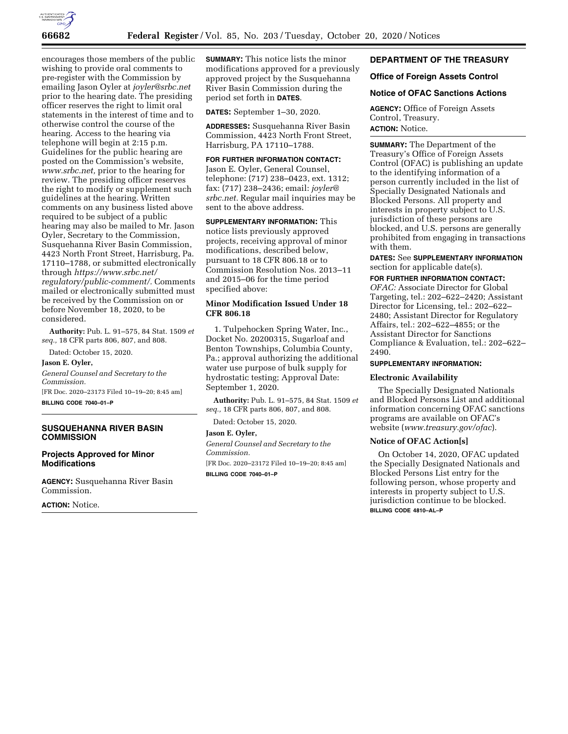

encourages those members of the public wishing to provide oral comments to pre-register with the Commission by emailing Jason Oyler at *[joyler@srbc.net](mailto:joyler@srbc.net)*  prior to the hearing date. The presiding officer reserves the right to limit oral statements in the interest of time and to otherwise control the course of the hearing. Access to the hearing via telephone will begin at 2:15 p.m. Guidelines for the public hearing are posted on the Commission's website, *[www.srbc.net,](http://www.srbc.net)* prior to the hearing for review. The presiding officer reserves the right to modify or supplement such guidelines at the hearing. Written comments on any business listed above required to be subject of a public hearing may also be mailed to Mr. Jason Oyler, Secretary to the Commission, Susquehanna River Basin Commission, 4423 North Front Street, Harrisburg, Pa. 17110–1788, or submitted electronically through *[https://www.srbc.net/](https://www.srbc.net/regulatory/public-comment/) [regulatory/public-comment/.](https://www.srbc.net/regulatory/public-comment/)* Comments mailed or electronically submitted must be received by the Commission on or before November 18, 2020, to be considered.

**Authority:** Pub. L. 91–575, 84 Stat. 1509 *et seq.,* 18 CFR parts 806, 807, and 808.

Dated: October 15, 2020.

#### **Jason E. Oyler,**

*General Counsel and Secretary to the Commission.*  [FR Doc. 2020–23173 Filed 10–19–20; 8:45 am]

**BILLING CODE 7040–01–P** 

# **SUSQUEHANNA RIVER BASIN COMMISSION**

#### **Projects Approved for Minor Modifications**

**AGENCY:** Susquehanna River Basin Commission.

**ACTION:** Notice.

**SUMMARY:** This notice lists the minor modifications approved for a previously approved project by the Susquehanna River Basin Commission during the period set forth in **DATES**.

**DATES:** September 1–30, 2020.

**ADDRESSES:** Susquehanna River Basin Commission, 4423 North Front Street, Harrisburg, PA 17110–1788.

# **FOR FURTHER INFORMATION CONTACT:**

Jason E. Oyler, General Counsel, telephone: (717) 238–0423, ext. 1312; fax: (717) 238–2436; email: *[joyler@](mailto:joyler@srbc.net) [srbc.net.](mailto:joyler@srbc.net)* Regular mail inquiries may be sent to the above address.

**SUPPLEMENTARY INFORMATION:** This notice lists previously approved projects, receiving approval of minor modifications, described below, pursuant to 18 CFR 806.18 or to Commission Resolution Nos. 2013–11 and 2015–06 for the time period specified above:

## **Minor Modification Issued Under 18 CFR 806.18**

1. Tulpehocken Spring Water, Inc., Docket No. 20200315, Sugarloaf and Benton Townships, Columbia County, Pa.; approval authorizing the additional water use purpose of bulk supply for hydrostatic testing; Approval Date: September 1, 2020.

**Authority:** Pub. L. 91–575, 84 Stat. 1509 *et seq.,* 18 CFR parts 806, 807, and 808.

Dated: October 15, 2020.

#### **Jason E. Oyler,**

*General Counsel and Secretary to the Commission.* 

[FR Doc. 2020–23172 Filed 10–19–20; 8:45 am] **BILLING CODE 7040–01–P** 

## **DEPARTMENT OF THE TREASURY**

## **Office of Foreign Assets Control**

## **Notice of OFAC Sanctions Actions**

**AGENCY:** Office of Foreign Assets Control, Treasury. **ACTION:** Notice.

**SUMMARY:** The Department of the Treasury's Office of Foreign Assets Control (OFAC) is publishing an update to the identifying information of a person currently included in the list of Specially Designated Nationals and Blocked Persons. All property and interests in property subject to U.S. jurisdiction of these persons are blocked, and U.S. persons are generally prohibited from engaging in transactions with them.

**DATES:** See **SUPPLEMENTARY INFORMATION** section for applicable date(s).

**FOR FURTHER INFORMATION CONTACT:** 

*OFAC:* Associate Director for Global Targeting, tel.: 202–622–2420; Assistant Director for Licensing, tel.: 202–622– 2480; Assistant Director for Regulatory Affairs, tel.: 202–622–4855; or the Assistant Director for Sanctions Compliance & Evaluation, tel.: 202–622– 2490.

## **SUPPLEMENTARY INFORMATION:**

#### **Electronic Availability**

The Specially Designated Nationals and Blocked Persons List and additional information concerning OFAC sanctions programs are available on OFAC's website (*[www.treasury.gov/ofac](http://www.treasury.gov/ofac)*).

## **Notice of OFAC Action[s]**

On October 14, 2020, OFAC updated the Specially Designated Nationals and Blocked Persons List entry for the following person, whose property and interests in property subject to U.S. jurisdiction continue to be blocked. **BILLING CODE 4810–AL–P**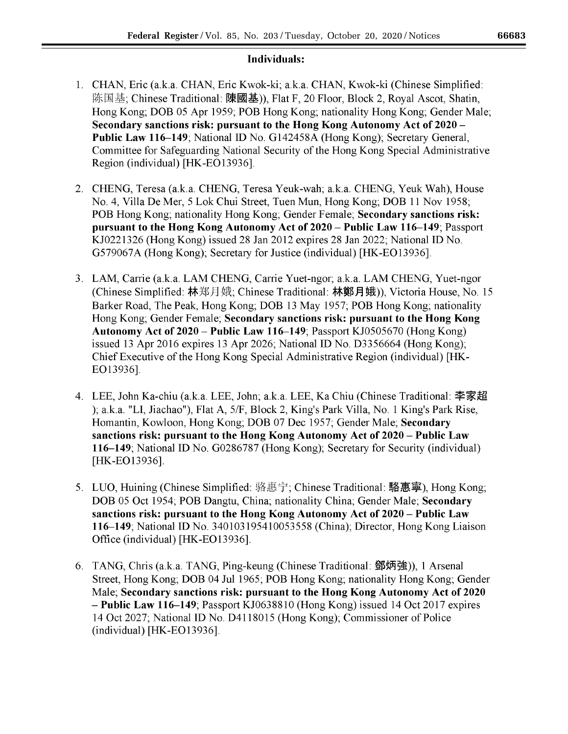# Individuals:

- 1. CHAN, Eric (a.k.a. CHAN, Eric Kwok-ki; a.k.a. CHAN, Kwok-ki (Chinese Simplified: 陈国基; Chinese Traditional: 陳國基)), Flat F, 20 Floor, Block 2, Royal Ascot, Shatin, Hong Kong; DOB 05 Apr 1959; POB Hong Kong; nationality Hong Kong; Gender Male; Secondary sanctions risk: pursuant to the Hong Kong Autonomy Act of 2020 – Public Law 116-149; National ID No. G142458A (Hong Kong); Secretary General, Committee for Safeguarding National Security of the Hong Kong Special Administrative Region (individual) [HK-EO13936].
- 2. CHENG, Teresa (a.k.a. CHENG, Teresa Yeuk-wah; a.k.a. CHENG, Yeuk Wah), House No. 4, Villa De Mer, 5 Lok Chui Street, Tuen Mun, Hong Kong; DOB 11 Nov 1958; POB Hong Kong; nationality Hong Kong; Gender Female; Secondary sanctions risk: pursuant to the Hong Kong Autonomy Act of 2020 – Public Law 116–149; Passport KJ0221326 (Hong Kong) issued 28 Jan 2012 expires 28 Jan 2022; National ID No. G579067A (Hong Kong); Secretary for Justice (individual) [HK-EO13936].
- 3. LAM, Carrie (a.k.a. LAM CHENG, Carrie Yuet-ngor; a.k.a. LAM CHENG, Yuet-ngor (Chinese Simplified: 林郑月娥; Chinese Traditional: 林鄭月娥)), Victoria House, No. 15 Barker Road, The Peak, Hong Kong; DOB 13 May 1957; POB Hong Kong; nationality Hong Kong; Gender Female; Secondary sanctions risk: pursuant to the Hong Kong Autonomy Act of 2020 - Public Law 116-149; Passport KJ0505670 (Hong Kong) issued 13 Apr 2016 expires 13 Apr 2026; National ID No. D3356664 (Hong Kong); Chief Executive of the Hong Kong Special Administrative Region (individual) [HK-EO13936].
- 4. LEE, John Ka-chiu (a.k.a. LEE, John; a.k.a. LEE, Ka Chiu (Chinese Traditional: 李家超 ); a.k.a. "LI, Jiachao"), Flat A, 5/F, Block 2, King's Park Villa, No. 1 King's Park Rise, Homantin, Kowloon, Hong Kong; DOB 07 Dec 1957; Gender Male; Secondary sanctions risk: pursuant to the Hong Kong Autonomy Act of 2020 – Public Law 116–149; National ID No. G0286787 (Hong Kong); Secretary for Security (individual) [HK-EO13936].
- 5. LUO, Huining (Chinese Simplified: 骆惠宁; Chinese Traditional: 駱惠寧), Hong Kong; DOB 05 Oct 1954; POB Dangtu, China; nationality China; Gender Male; Secondary sanctions risk: pursuant to the Hong Kong Autonomy Act of 2020 – Public Law 116–149; National ID No. 340103195410053558 (China); Director, Hong Kong Liaison Office (individual) [HK-EO13936].
- 6. TANG, Chris (a.k.a. TANG, Ping-keung (Chinese Traditional: 鄧炳強)), 1 Arsenal Street, Hong Kong; DOB 04 Jul 1965; POB Hong Kong; nationality Hong Kong; Gender Male; Secondary sanctions risk: pursuant to the Hong Kong Autonomy Act of 2020 - Public Law 116–149; Passport KJ0638810 (Hong Kong) issued 14 Oct 2017 expires 14 Oct 2027; National ID No. D4118015 (Hong Kong); Commissioner of Police  $\left($ individual $\right)$  [HK-EO13936].